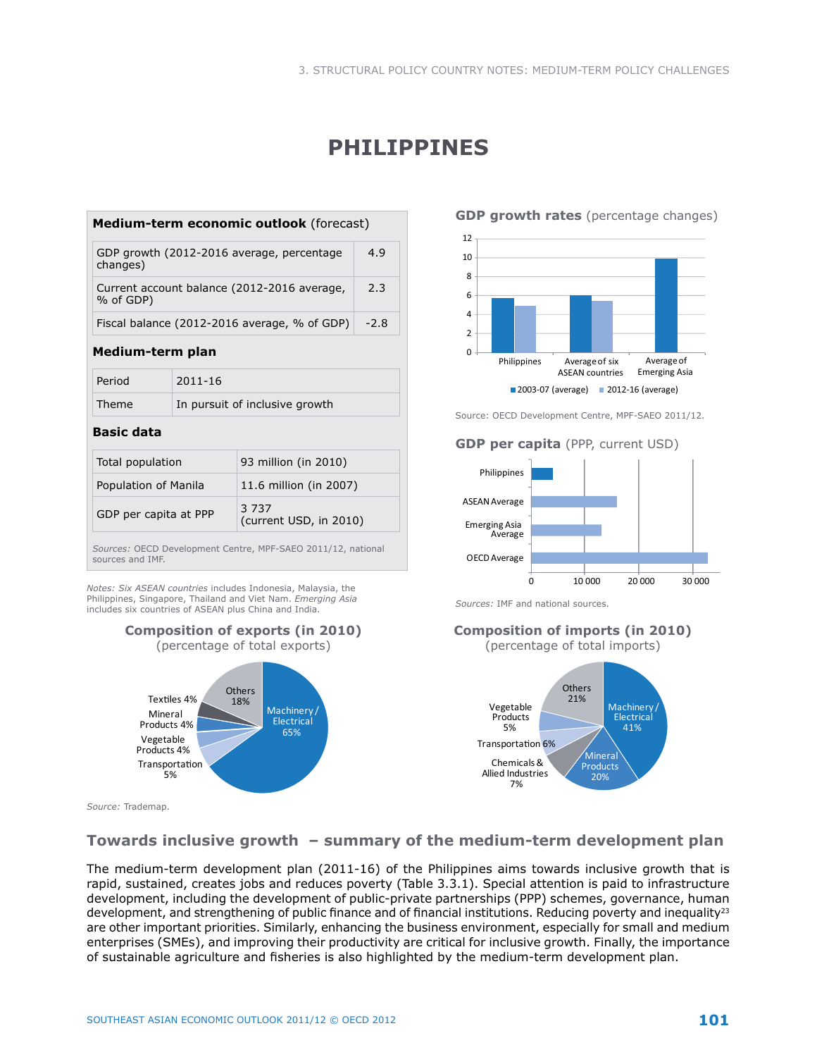# **PHILIPPINES**

#### **Medium-term economic outlook** (forecast)

| GDP growth (2012-2016 average, percentage<br>changes)    | 4.9    |
|----------------------------------------------------------|--------|
| Current account balance (2012-2016 average,<br>% of GDP) | 2.3    |
| Fiscal balance (2012-2016 average, % of GDP)             | $-2.8$ |

#### **Medium-term plan**

| Period | 2011-16                        |
|--------|--------------------------------|
| Theme  | In pursuit of inclusive growth |

#### **Basic data**

| Total population      | 93 million (in 2010)              |  |
|-----------------------|-----------------------------------|--|
| Population of Manila  | 11.6 million (in 2007)            |  |
| GDP per capita at PPP | 3 7 3 7<br>(current USD, in 2010) |  |

Sources: OECD Development Centre, MPF-SAEO 2011/12, national sources and IMF.

*Notes: Six ASEAN countries* Philippines, Singapore, Thailand and Viet Nam. Emerging Asia includes six countries of ASEAN plus China and India.



*Source:* Trademap.

#### **GDP growth rates** (percentage changes)



Source: OECD Development Centre, MPF-SAEO 2011/12.

#### **GDP per capita** (PPP, current USD)



*Sources:* IMF and national sources.

#### **Composition of imports (in 2010)**  (percentage of total imports)



### **Towards inclusive growth – summary of the medium-term development plan**

The medium-term development plan (2011-16) of the Philippines aims towards inclusive growth that is rapid, sustained, creates jobs and reduces poverty (Table 3.3.1). Special attention is paid to infrastructure development, including the development of public-private partnerships (PPP) schemes, governance, human development, and strengthening of public finance and of financial institutions. Reducing poverty and inequality<sup>23</sup> are other important priorities. Similarly, enhancing the business environment, especially for small and medium enterprises (SMEs), and improving their productivity are critical for inclusive growth. Finally, the importance of sustainable agriculture and fisheries is also highlighted by the medium-term development plan.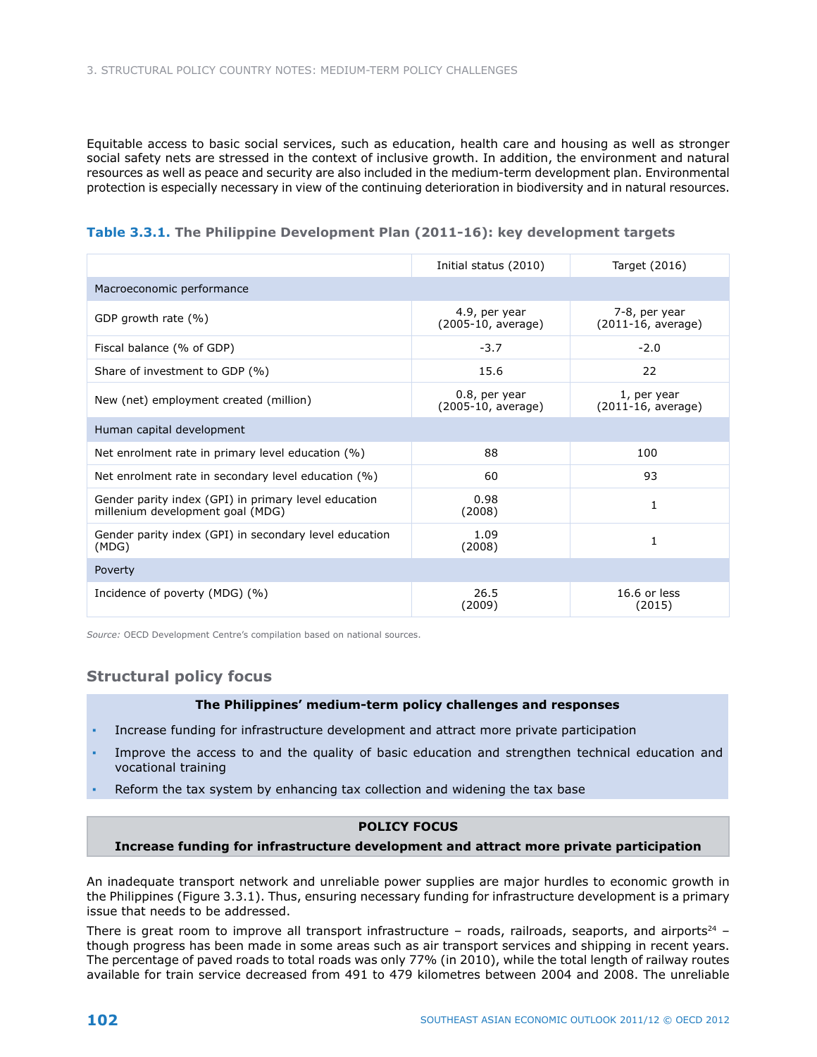Equitable access to basic social services, such as education, health care and housing as well as stronger social safety nets are stressed in the context of inclusive growth. In addition, the environment and natural resources as well as peace and security are also included in the medium-term development plan. Environmental protection is especially necessary in view of the continuing deterioration in biodiversity and in natural resources.

|  |  | Table 3.3.1. The Philippine Development Plan (2011-16): key development targets |
|--|--|---------------------------------------------------------------------------------|
|  |  |                                                                                 |

|                                                                                          | Initial status (2010)               | Target (2016)                       |
|------------------------------------------------------------------------------------------|-------------------------------------|-------------------------------------|
| Macroeconomic performance                                                                |                                     |                                     |
| GDP growth rate (%)                                                                      | 4.9, per year<br>(2005-10, average) | 7-8, per year<br>(2011-16, average) |
| Fiscal balance (% of GDP)                                                                | $-3.7$                              | $-2.0$                              |
| Share of investment to GDP (%)                                                           | 15.6                                | 22                                  |
| New (net) employment created (million)                                                   | 0.8, per year<br>(2005-10, average) | 1, per year<br>(2011-16, average)   |
| Human capital development                                                                |                                     |                                     |
| Net enrolment rate in primary level education (%)                                        | 88                                  | 100                                 |
| Net enrolment rate in secondary level education (%)                                      | 60                                  | 93                                  |
| Gender parity index (GPI) in primary level education<br>millenium development goal (MDG) | 0.98<br>(2008)                      | 1                                   |
| Gender parity index (GPI) in secondary level education<br>(MDG)                          | 1.09<br>(2008)                      | 1                                   |
| Poverty                                                                                  |                                     |                                     |
| Incidence of poverty (MDG) (%)                                                           | 26.5<br>(2009)                      | $16.6$ or less<br>(2015)            |

Source: OECD Development Centre's compilation based on national sources.

## **Structural policy focus**

#### **The Philippines' medium-term policy challenges and responses**

- Increase funding for infrastructure development and attract more private participation
- Improve the access to and the quality of basic education and strengthen technical education and vocational training
- Reform the tax system by enhancing tax collection and widening the tax base

#### **POLICY FOCUS**

#### **Increase funding for infrastructure development and attract more private participation**

An inadequate transport network and unreliable power supplies are major hurdles to economic growth in the Philippines (Figure 3.3.1). Thus, ensuring necessary funding for infrastructure development is a primary issue that needs to be addressed.

There is great room to improve all transport infrastructure – roads, railroads, seaports, and airports<sup>24</sup> – though progress has been made in some areas such as air transport services and shipping in recent years. The percentage of paved roads to total roads was only 77% (in 2010), while the total length of railway routes available for train service decreased from 491 to 479 kilometres between 2004 and 2008. The unreliable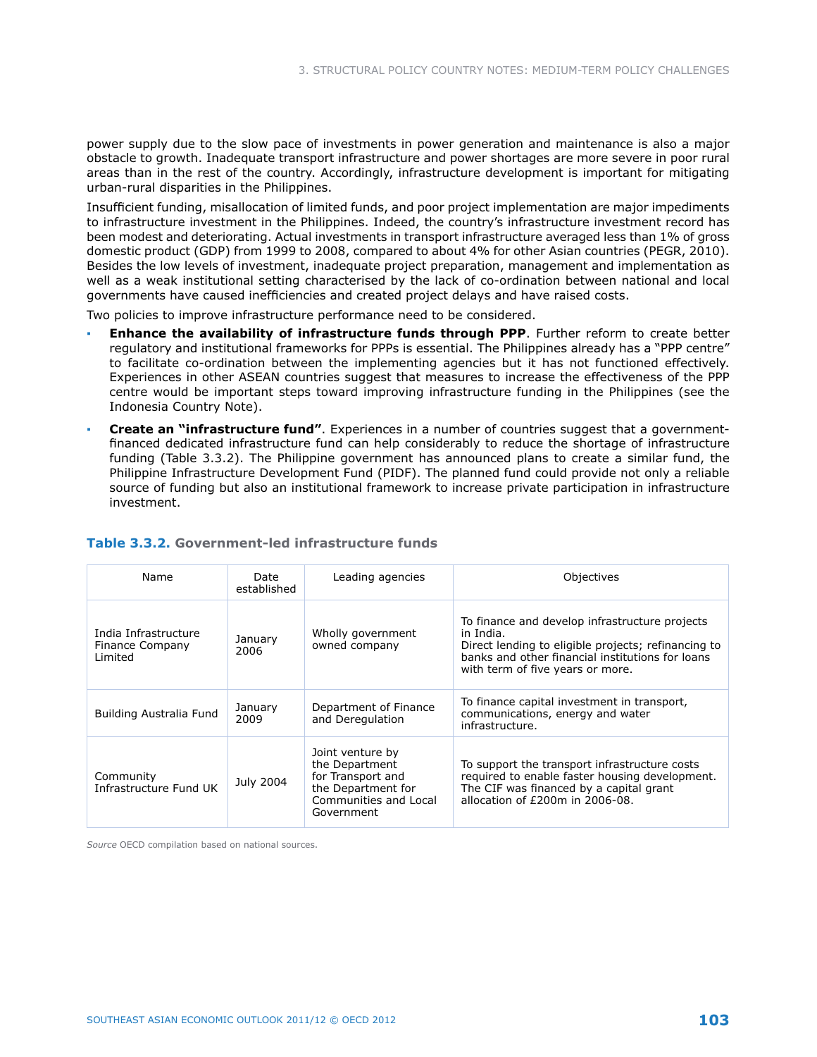power supply due to the slow pace of investments in power generation and maintenance is also a major obstacle to growth. Inadequate transport infrastructure and power shortages are more severe in poor rural areas than in the rest of the country. Accordingly, infrastructure development is important for mitigating urban-rural disparities in the Philippines.

Insufficient funding, misallocation of limited funds, and poor project implementation are major impediments to infrastructure investment in the Philippines. Indeed, the country's infrastructure investment record has been modest and deteriorating. Actual investments in transport infrastructure averaged less than 1% of gross domestic product (GDP) from 1999 to 2008, compared to about 4% for other Asian countries (PEGR, 2010). Besides the low levels of investment, inadequate project preparation, management and implementation as well as a weak institutional setting characterised by the lack of co-ordination between national and local governments have caused inefficiencies and created project delays and have raised costs.

Two policies to improve infrastructure performance need to be considered.

- **Enhance the availability of infrastructure funds through PPP**. Further reform to create better regulatory and institutional frameworks for PPPs is essential. The Philippines already has a "PPP centre" to facilitate co-ordination between the implementing agencies but it has not functioned effectively. Experiences in other ASEAN countries suggest that measures to increase the effectiveness of the PPP centre would be important steps toward improving infrastructure funding in the Philippines (see the Indonesia Country Note).
- **Create an "infrastructure fund"**. Experiences in a number of countries suggest that a governmentfinanced dedicated infrastructure fund can help considerably to reduce the shortage of infrastructure funding (Table 3.3.2). The Philippine government has announced plans to create a similar fund, the Philippine Infrastructure Development Fund (PIDF). The planned fund could provide not only a reliable source of funding but also an institutional framework to increase private participation in infrastructure investment.

| Name                                               | Date<br>established | Leading agencies                                                                                                     | Objectives                                                                                                                                                                                                 |
|----------------------------------------------------|---------------------|----------------------------------------------------------------------------------------------------------------------|------------------------------------------------------------------------------------------------------------------------------------------------------------------------------------------------------------|
| India Infrastructure<br>Finance Company<br>Limited | January<br>2006     | Wholly government<br>owned company                                                                                   | To finance and develop infrastructure projects<br>in India.<br>Direct lending to eligible projects; refinancing to<br>banks and other financial institutions for loans<br>with term of five years or more. |
| Building Australia Fund                            | January<br>2009     | Department of Finance<br>and Deregulation                                                                            | To finance capital investment in transport,<br>communications, energy and water<br>infrastructure.                                                                                                         |
| Community<br>Infrastructure Fund UK                | July 2004           | Joint venture by<br>the Department<br>for Transport and<br>the Department for<br>Communities and Local<br>Government | To support the transport infrastructure costs<br>required to enable faster housing development.<br>The CIF was financed by a capital grant<br>allocation of £200m in 2006-08.                              |

#### **Table 3.3.2. Government-led infrastructure funds**

*Source* OECD compilation based on national sources.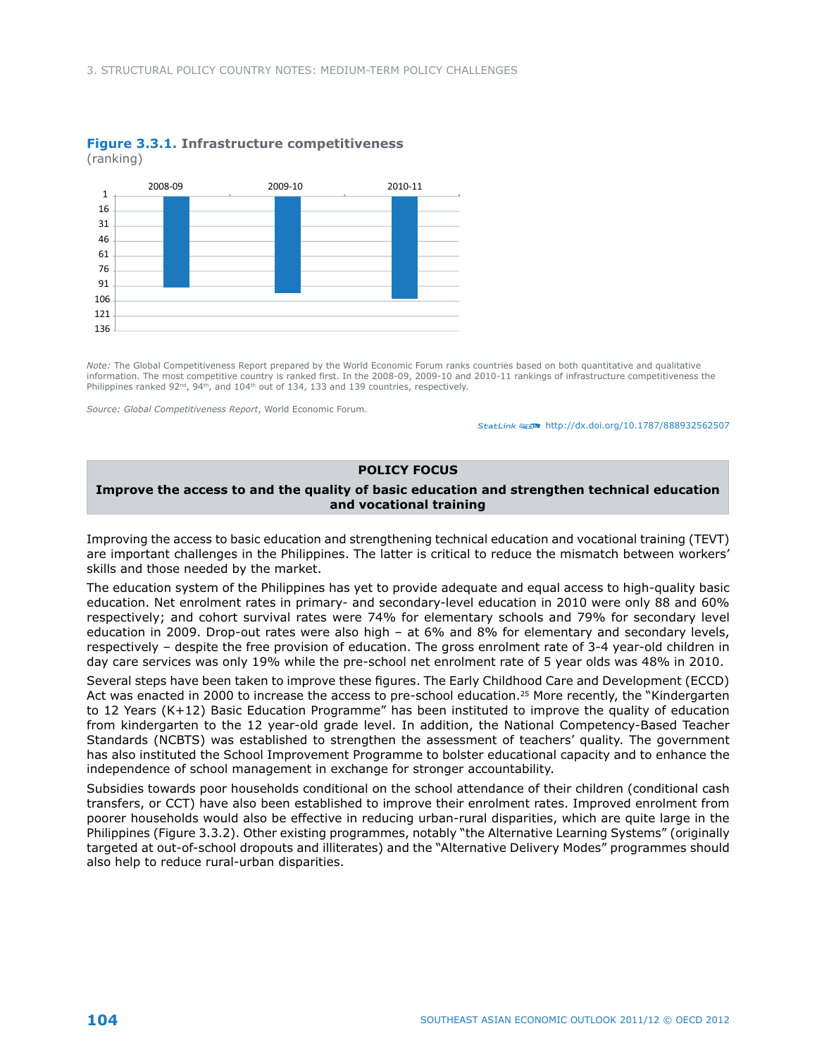

**Figure 3.3.1. Infrastructure competitiveness**  (ranking)

Note: The Global Competitiveness Report prepared by the World Economic Forum ranks countries based on both quantitative and qualitative information. The most competitive country is ranked first. In the 2008-09, 2009-10 and 2010-11 rankings of infrastructure competitiveness the Philippines ranked 92<sup>nd</sup>, 94<sup>th</sup>, and 104<sup>th</sup> out of 134, 133 and 139 countries, respectively.

**Source: Global Competitiveness Report, World Economic Forum.** 

StatLink as http://dx.doi.org/10.1787/888932562507

#### **POLICY FOCUS**

#### **Improve the access to and the quality of basic education and strengthen technical education and vocational training**

Improving the access to basic education and strengthening technical education and vocational training (TEVT) are important challenges in the Philippines. The latter is critical to reduce the mismatch between workers' skills and those needed by the market.

The education system of the Philippines has yet to provide adequate and equal access to high-quality basic education. Net enrolment rates in primary- and secondary-level education in 2010 were only 88 and 60% respectively; and cohort survival rates were 74% for elementary schools and 79% for secondary level education in 2009. Drop-out rates were also high  $-$  at 6% and 8% for elementary and secondary levels, respectively - despite the free provision of education. The gross enrolment rate of 3-4 year-old children in day care services was only 19% while the pre-school net enrolment rate of 5 year olds was 48% in 2010.

Several steps have been taken to improve these figures. The Early Childhood Care and Development (ECCD) Act was enacted in 2000 to increase the access to pre-school education.<sup>25</sup> More recently, the "Kindergarten to 12 Years (K+12) Basic Education Programme" has been instituted to improve the quality of education from kindergarten to the 12 year-old grade level. In addition, the National Competency-Based Teacher Standards (NCBTS) was established to strengthen the assessment of teachers' quality. The government has also instituted the School Improvement Programme to bolster educational capacity and to enhance the independence of school management in exchange for stronger accountability.

Subsidies towards poor households conditional on the school attendance of their children (conditional cash transfers, or CCT) have also been established to improve their enrolment rates. Improved enrolment from poorer households would also be effective in reducing urban-rural disparities, which are quite large in the Philippines (Figure 3.3.2). Other existing programmes, notably "the Alternative Learning Systems" (originally targeted at out-of-school dropouts and illiterates) and the "Alternative Delivery Modes" programmes should also help to reduce rural-urban disparities.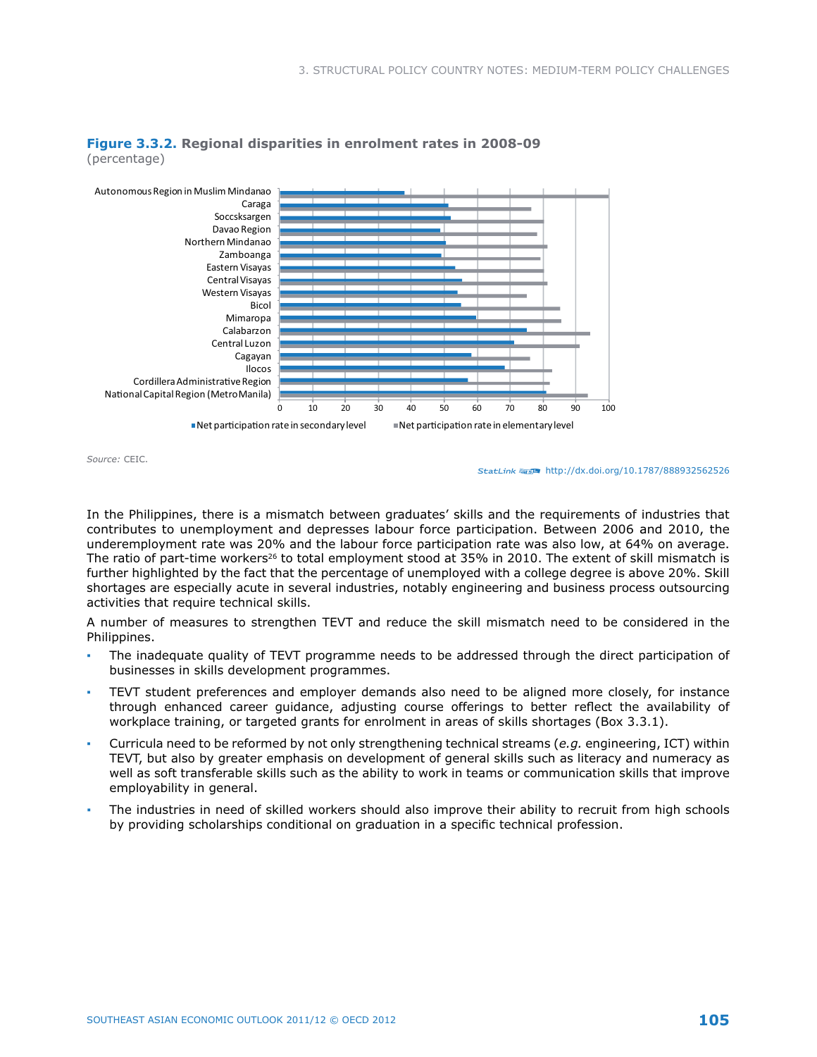

#### **Figure 3.3.2. Regional disparities in enrolment rates in 2008-09** (percentage)

*Source:* CEIC.

StatLink as http://dx.doi.org/10.1787/888932562526

In the Philippines, there is a mismatch between graduates' skills and the requirements of industries that contributes to unemployment and depresses labour force participation. Between 2006 and 2010, the underemployment rate was 20% and the labour force participation rate was also low, at 64% on average. The ratio of part-time workers<sup>26</sup> to total employment stood at 35% in 2010. The extent of skill mismatch is further highlighted by the fact that the percentage of unemployed with a college degree is above 20%. Skill shortages are especially acute in several industries, notably engineering and business process outsourcing activities that require technical skills.

A number of measures to strengthen TEVT and reduce the skill mismatch need to be considered in the Philippines.

- The inadequate quality of TEVT programme needs to be addressed through the direct participation of businesses in skills development programmes.
- TEVT student preferences and employer demands also need to be aligned more closely, for instance through enhanced career guidance, adjusting course offerings to better reflect the availability of workplace training, or targeted grants for enrolment in areas of skills shortages (Box 3.3.1).
- Urricula need to be reformed by not only strengthening technical streams (*e.g.* engineering, ICT) within TEVT, but also by greater emphasis on development of general skills such as literacy and numeracy as well as soft transferable skills such as the ability to work in teams or communication skills that improve employability in general.
- In the industries in need of skilled workers should also improve their ability to recruit from high schools by providing scholarships conditional on graduation in a specific technical profession.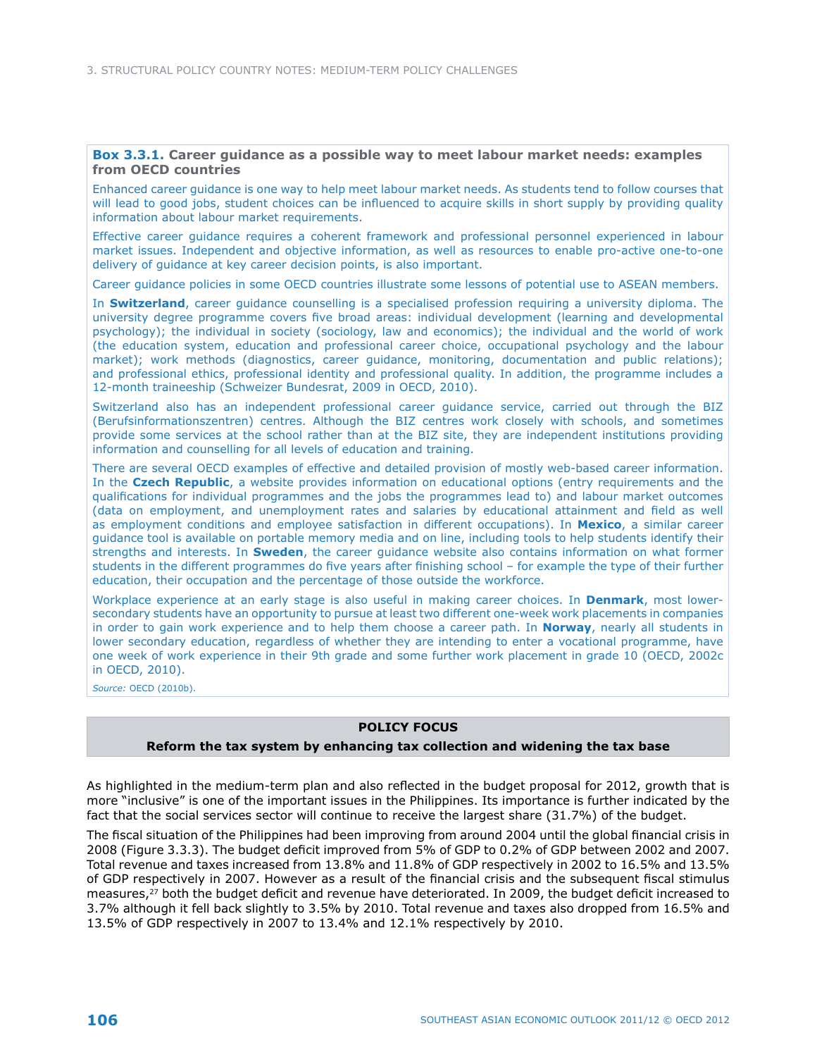#### **Box 3.3.1. Career guidance as a possible way to meet labour market needs: examples from OECD countries**

Enhanced career guidance is one way to help meet labour market needs. As students tend to follow courses that will lead to good jobs, student choices can be influenced to acquire skills in short supply by providing quality information about labour market requirements.

Effective career guidance requires a coherent framework and professional personnel experienced in labour market issues. Independent and objective information, as well as resources to enable pro-active one-to-one delivery of guidance at key career decision points, is also important.

Career guidance policies in some OECD countries illustrate some lessons of potential use to ASEAN members.

In **Switzerland**, career guidance counselling is a specialised profession requiring a university diploma. The university degree programme covers five broad areas: individual development (learning and developmental psychology); the individual in society (sociology, law and economics); the individual and the world of work (the education system, education and professional career choice, occupational psychology and the labour market); work methods (diagnostics, career guidance, monitoring, documentation and public relations); and professional ethics, professional identity and professional quality. In addition, the programme includes a 12-month traineeship (Schweizer Bundesrat, 2009 in OECD, 2010).

Switzerland also has an independent professional career guidance service, carried out through the BIZ (Berufsinformationszentren) centres. Although the BIZ centres work closely with schools, and sometimes provide some services at the school rather than at the BIZ site, they are independent institutions providing information and counselling for all levels of education and training.

There are several OECD examples of effective and detailed provision of mostly web-based career information. In the Czech Republic, a website provides information on educational options (entry requirements and the qualifications for individual programmes and the jobs the programmes lead to) and labour market outcomes (data on employment, and unemployment rates and salaries by educational attainment and field as well as employment conditions and employee satisfaction in different occupations). In **Mexico** guidance tool is available on portable memory media and on line, including tools to help students identify their strengths and interests. In **Sweden**, the career guidance website also contains information on what former students in the different programmes do five years after finishing school – for example the type of their further education, their occupation and the percentage of those outside the workforce.

Workplace experience at an early stage is also useful in making career choices. In **Denmark**, most lowersecondary students have an opportunity to pursue at least two different one-week work placements in companies in order to gain work experience and to help them choose a career path. In **Norway**, nearly all students in lower secondary education, regardless of whether they are intending to enter a vocational programme, have one week of work experience in their 9th grade and some further work placement in grade 10 (OECD, 2002c in OECD, 2010).

*Source:* OECD (2010b).

#### **POLICY FOCUS**

#### **Reform the tax system by enhancing tax collection and widening the tax base**

As highlighted in the medium-term plan and also reflected in the budget proposal for 2012, growth that is more "inclusive" is one of the important issues in the Philippines. Its importance is further indicated by the fact that the social services sector will continue to receive the largest share (31.7%) of the budget.

The fiscal situation of the Philippines had been improving from around 2004 until the global financial crisis in 2008 (Figure 3.3.3). The budget deficit improved from 5% of GDP to 0.2% of GDP between 2002 and 2007. Total revenue and taxes increased from  $13.8\%$  and  $11.8\%$  of GDP respectively in 2002 to  $16.5\%$  and  $13.5\%$ of GDP respectively in 2007. However as a result of the financial crisis and the subsequent fiscal stimulus measures,<sup>27</sup> both the budget deficit and revenue have deteriorated. In 2009, the budget deficit increased to 3.7% although it fell back slightly to 3.5% by 2010. Total revenue and taxes also dropped from 16.5% and 13.5% of GDP respectively in 2007 to 13.4% and 12.1% respectively by 2010.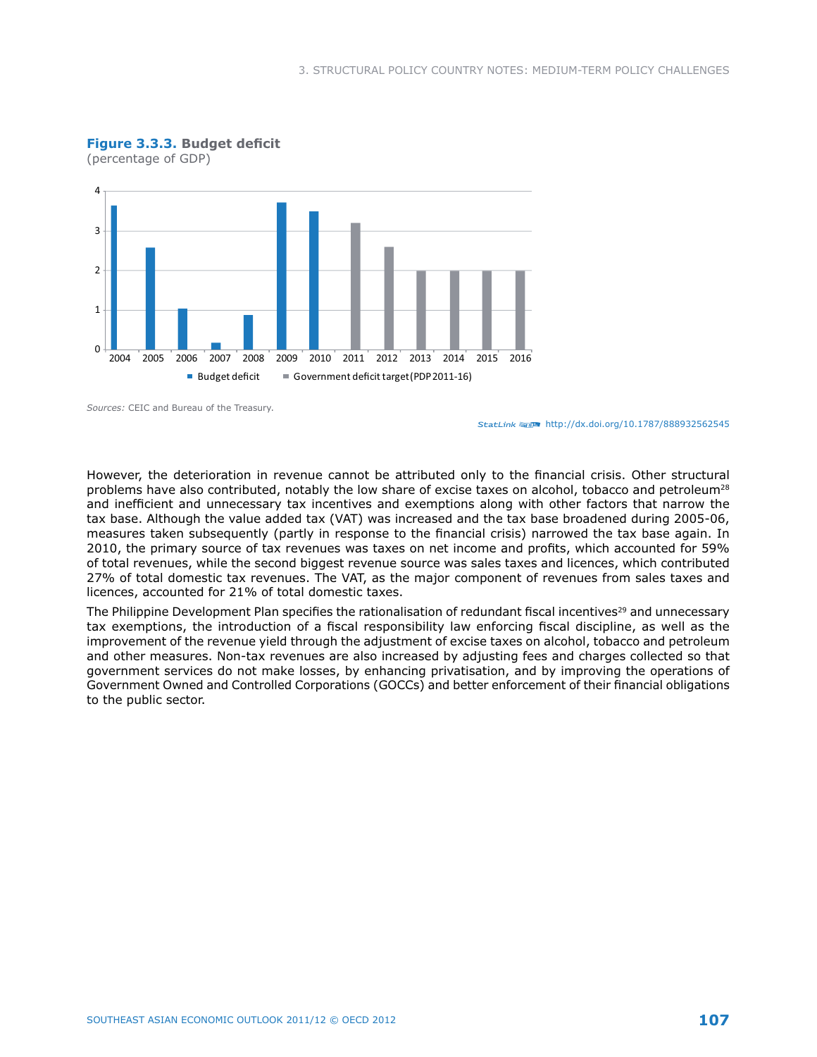

#### **Figure 3.3.3. Budget deficit** (percentage of GDP)

Sources: CEIC and Bureau of the Treasury.

However, the deterioration in revenue cannot be attributed only to the financial crisis. Other structural problems have also contributed, notably the low share of excise taxes on alcohol, tobacco and petroleum<sup>28</sup> and inefficient and unnecessary tax incentives and exemptions along with other factors that narrow the tax base. Although the value added tax (VAT) was increased and the tax base broadened during 2005-06, measures taken subsequently (partly in response to the financial crisis) narrowed the tax base again. In 2010, the primary source of tax revenues was taxes on net income and profits, which accounted for 59% of total revenues, while the second biggest revenue source was sales taxes and licences, which contributed 27% of total domestic tax revenues. The VAT, as the major component of revenues from sales taxes and licences, accounted for 21% of total domestic taxes.

The Philippine Development Plan specifies the rationalisation of redundant fiscal incentives<sup>29</sup> and unnecessary tax exemptions, the introduction of a fiscal responsibility law enforcing fiscal discipline, as well as the improvement of the revenue yield through the adjustment of excise taxes on alcohol, tobacco and petroleum and other measures. Non-tax revenues are also increased by adjusting fees and charges collected so that government services do not make losses, by enhancing privatisation, and by improving the operations of Government Owned and Controlled Corporations (GOCCs) and better enforcement of their financial obligations to the public sector.

StatLink as http://dx.doi.org/10.1787/888932562545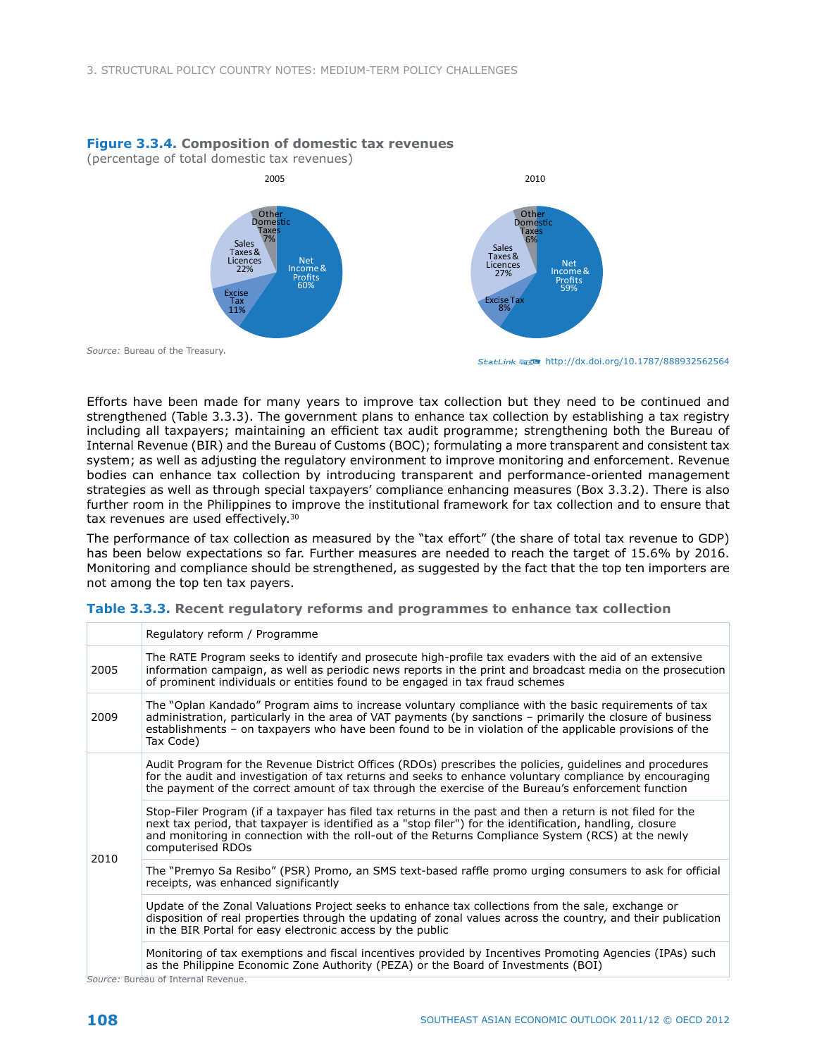

## **Figure 3.3.4. Composition of domestic tax revenues**

Source: Bureau of the Treasury.

StatLink as http://dx.doi.org/10.1787/888932562564

Efforts have been made for many years to improve tax collection but they need to be continued and strengthened (Table 3.3.3). The government plans to enhance tax collection by establishing a tax registry including all taxpayers; maintaining an efficient tax audit programme; strengthening both the Bureau of Internal Revenue (BIR) and the Bureau of Customs (BOC); formulating a more transparent and consistent tax system; as well as adjusting the regulatory environment to improve monitoring and enforcement. Revenue bodies can enhance tax collection by introducing transparent and performance-oriented management strategies as well as through special taxpayers' compliance enhancing measures (Box 3.3.2). There is also further room in the Philippines to improve the institutional framework for tax collection and to ensure that tax revenues are used effectively.<sup>30</sup>

The performance of tax collection as measured by the "tax effort" (the share of total tax revenue to GDP) has been below expectations so far. Further measures are needed to reach the target of 15.6% by 2016. Monitoring and compliance should be strengthened, as suggested by the fact that the top ten importers are not among the top ten tax payers.

|      |      | Regulatory reform / Programme                                                                                                                                                                                                                                                                                                                      |
|------|------|----------------------------------------------------------------------------------------------------------------------------------------------------------------------------------------------------------------------------------------------------------------------------------------------------------------------------------------------------|
|      | 2005 | The RATE Program seeks to identify and prosecute high-profile tax evaders with the aid of an extensive<br>information campaign, as well as periodic news reports in the print and broadcast media on the prosecution<br>of prominent individuals or entities found to be engaged in tax fraud schemes                                              |
| 2010 | 2009 | The "Oplan Kandado" Program aims to increase voluntary compliance with the basic requirements of tax<br>administration, particularly in the area of VAT payments (by sanctions – primarily the closure of business<br>establishments - on taxpayers who have been found to be in violation of the applicable provisions of the<br>Tax Code)        |
|      |      | Audit Program for the Revenue District Offices (RDOs) prescribes the policies, guidelines and procedures<br>for the audit and investigation of tax returns and seeks to enhance voluntary compliance by encouraging<br>the payment of the correct amount of tax through the exercise of the Bureau's enforcement function                          |
|      |      | Stop-Filer Program (if a taxpayer has filed tax returns in the past and then a return is not filed for the<br>next tax period, that taxpayer is identified as a "stop filer") for the identification, handling, closure<br>and monitoring in connection with the roll-out of the Returns Compliance System (RCS) at the newly<br>computerised RDOs |
|      |      | The "Premyo Sa Resibo" (PSR) Promo, an SMS text-based raffle promo urging consumers to ask for official<br>receipts, was enhanced significantly                                                                                                                                                                                                    |
|      |      | Update of the Zonal Valuations Project seeks to enhance tax collections from the sale, exchange or<br>disposition of real properties through the updating of zonal values across the country, and their publication<br>in the BIR Portal for easy electronic access by the public                                                                  |
|      |      | Monitoring of tax exemptions and fiscal incentives provided by Incentives Promoting Agencies (IPAs) such<br>as the Philippine Economic Zone Authority (PEZA) or the Board of Investments (BOI)                                                                                                                                                     |

**Table 3.3.3. Recent regulatory reforms and programmes to enhance tax collection**

Source: Bureau of Internal Revenue.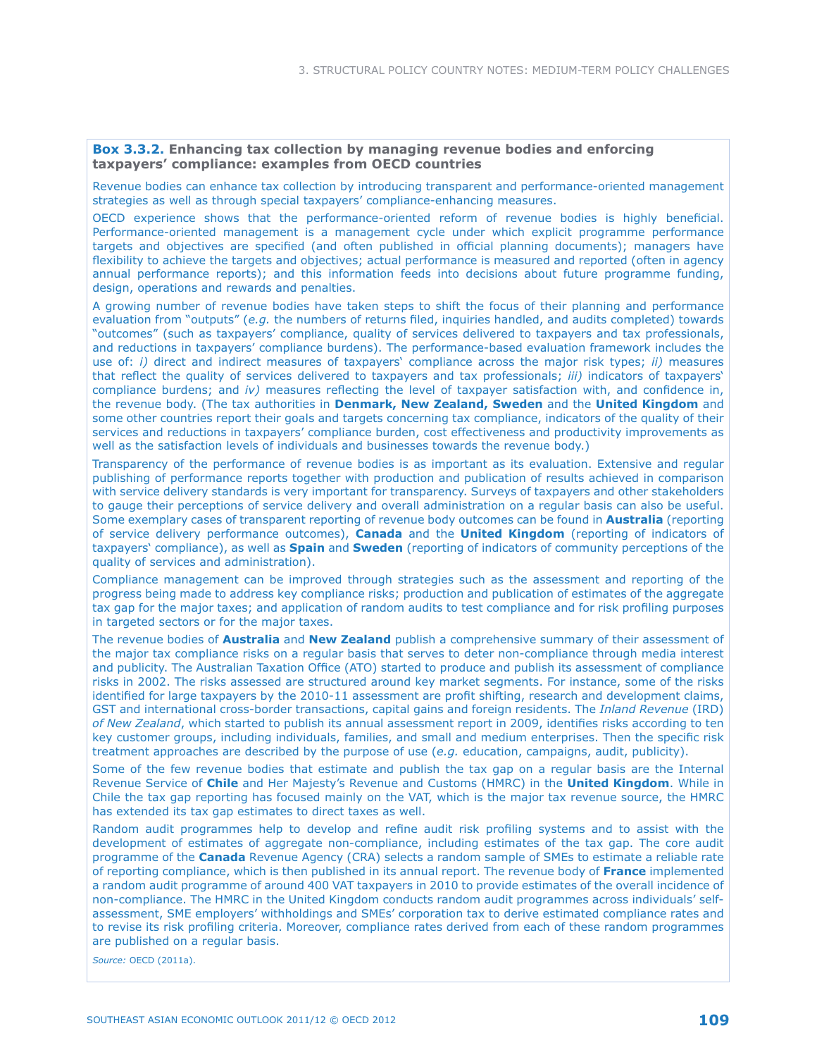#### **Box 3.3.2. Enhancing tax collection by managing revenue bodies and enforcing taxpayers' compliance: examples from OECD countries**

Revenue bodies can enhance tax collection by introducing transparent and performance-oriented management strategies as well as through special taxpayers' compliance-enhancing measures.

OECD experience shows that the performance-oriented reform of revenue bodies is highly beneficial. Performance-oriented management is a management cycle under which explicit programme performance targets and objectives are specified (and often published in official planning documents); managers have flexibility to achieve the targets and objectives; actual performance is measured and reported (often in agency annual performance reports); and this information feeds into decisions about future programme funding, design, operations and rewards and penalties.

A growing number of revenue bodies have taken steps to shift the focus of their planning and performance evaluation from "outputs" (e.g. the numbers of returns filed, inquiries handled, and audits completed) towards "outcomes" (such as taxpayers' compliance, quality of services delivered to taxpayers and tax professionals, and reductions in taxpayers' compliance burdens). The performance-based evaluation framework includes the use of: *i*) direct and indirect measures of taxpayers' compliance across the major risk types; *ii*) measures that reflect the quality of services delivered to taxpayers and tax professionals; *iii*) indicators of taxpayers' compliance burdens; and  $iv$ ) measures reflecting the level of taxpayer satisfaction with, and confidence in, the revenue body. (The tax authorities in **Denmark, New Zealand, Sweden** and the **United Kingdom** and some other countries report their goals and targets concerning tax compliance, indicators of the quality of their services and reductions in taxpayers' compliance burden, cost effectiveness and productivity improvements as well as the satisfaction levels of individuals and businesses towards the revenue body.)

Transparency of the performance of revenue bodies is as important as its evaluation. Extensive and regular publishing of performance reports together with production and publication of results achieved in comparison with service delivery standards is very important for transparency. Surveys of taxpayers and other stakeholders to gauge their perceptions of service delivery and overall administration on a regular basis can also be useful. Some exemplary cases of transparent reporting of revenue body outcomes can be found in **Australia** (reporting of service delivery performance outcomes), **Canada** and the **United Kingdom** (reporting of indicators of taxpayers' compliance), as well as **Spain** and **Sweden** (reporting of indicators of community perceptions of the quality of services and administration).

Compliance management can be improved through strategies such as the assessment and reporting of the progress being made to address key compliance risks; production and publication of estimates of the aggregate tax gap for the major taxes; and application of random audits to test compliance and for risk profiling purposes in targeted sectors or for the major taxes.

The revenue bodies of **Australia** and **New Zealand** publish a comprehensive summary of their assessment of the major tax compliance risks on a regular basis that serves to deter non-compliance through media interest and publicity. The Australian Taxation Office (ATO) started to produce and publish its assessment of compliance risks in 2002. The risks assessed are structured around key market segments. For instance, some of the risks identified for large taxpayers by the 2010-11 assessment are profit shifting, research and development claims, GST and international cross-border transactions, capital gains and foreign residents. The *Inland Revenue* (IRD) of New Zealand, which started to publish its annual assessment report in 2009, identifies risks according to ten key customer groups, including individuals, families, and small and medium enterprises. Then the specific risk treatment approaches are described by the purpose of use (e.g. education, campaigns, audit, publicity).

Some of the few revenue bodies that estimate and publish the tax gap on a regular basis are the Internal Revenue Service of Chile and Her Majesty's Revenue and Customs (HMRC) in the United Kingdom. While in Chile the tax gap reporting has focused mainly on the VAT, which is the major tax revenue source, the HMRC has extended its tax gap estimates to direct taxes as well.

Random audit programmes help to develop and refine audit risk profiling systems and to assist with the development of estimates of aggregate non-compliance, including estimates of the tax gap. The core audit programme of the **Canada** Revenue Agency (CRA) selects a random sample of SMEs to estimate a reliable rate of reporting compliance, which is then published in its annual report. The revenue body of France implemented a random audit programme of around 400 VAT taxpayers in 2010 to provide estimates of the overall incidence of non-compliance. The HMRC in the United Kingdom conducts random audit programmes across individuals' selfassessment, SME employers' withholdings and SMEs' corporation tax to derive estimated compliance rates and to revise its risk profiling criteria. Moreover, compliance rates derived from each of these random programmes are published on a regular basis.

*Source:* OECD (2011a).